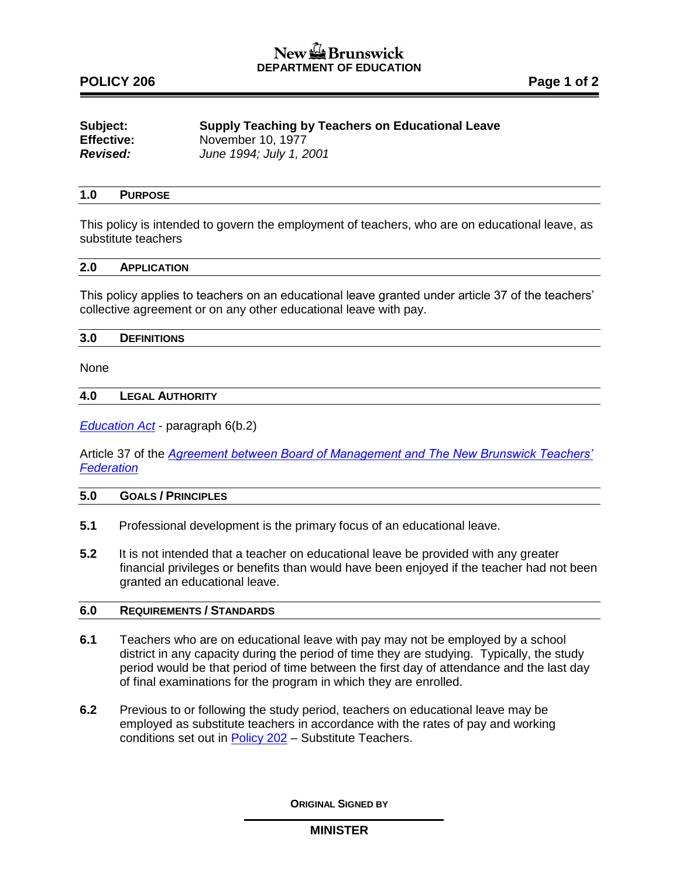# New the Brunswick **DEPARTMENT OF EDUCATION**

# POLICY 206 **POLICY 206**

| Subject:          | <b>Supply Teaching by Teachers on Educational Leave</b> |
|-------------------|---------------------------------------------------------|
| <b>Effective:</b> | November 10, 1977                                       |
| Revised:          | June 1994; July 1, 2001                                 |

## **1.0 PURPOSE**

This policy is intended to govern the employment of teachers, who are on educational leave, as substitute teachers

### **2.0 APPLICATION**

This policy applies to teachers on an educational leave granted under article 37 of the teachers' collective agreement or on any other educational leave with pay.

#### **3.0 DEFINITIONS**

None

### **4.0 LEGAL AUTHORITY**

*[Education Act](http://laws.gnb.ca/en/ShowPdf/cs/E-1.12.pdf)* - paragraph 6(b.2)

Article 37 of the *[Agreement between Board of Management and The New Brunswick Teachers'](http://www2.gnb.ca/content/dam/gnb/Departments/ohr-brh/pdf/ca/201.pdf)  [Federation](http://www2.gnb.ca/content/dam/gnb/Departments/ohr-brh/pdf/ca/201.pdf)*

## **5.0 GOALS / PRINCIPLES**

- **5.1** Professional development is the primary focus of an educational leave.
- **5.2** It is not intended that a teacher on educational leave be provided with any greater financial privileges or benefits than would have been enjoyed if the teacher had not been granted an educational leave.

## **6.0 REQUIREMENTS / STANDARDS**

- **6.1** Teachers who are on educational leave with pay may not be employed by a school district in any capacity during the period of time they are studying. Typically, the study period would be that period of time between the first day of attendance and the last day of final examinations for the program in which they are enrolled.
- **6.2** Previous to or following the study period, teachers on educational leave may be employed as substitute teachers in accordance with the rates of pay and working conditions set out in [Policy 202](http://www2.gnb.ca/content/dam/gnb/Departments/ed/pdf/K12/policies-politiques/e/202A.pdf) – Substitute Teachers.

**ORIGINAL SIGNED BY**